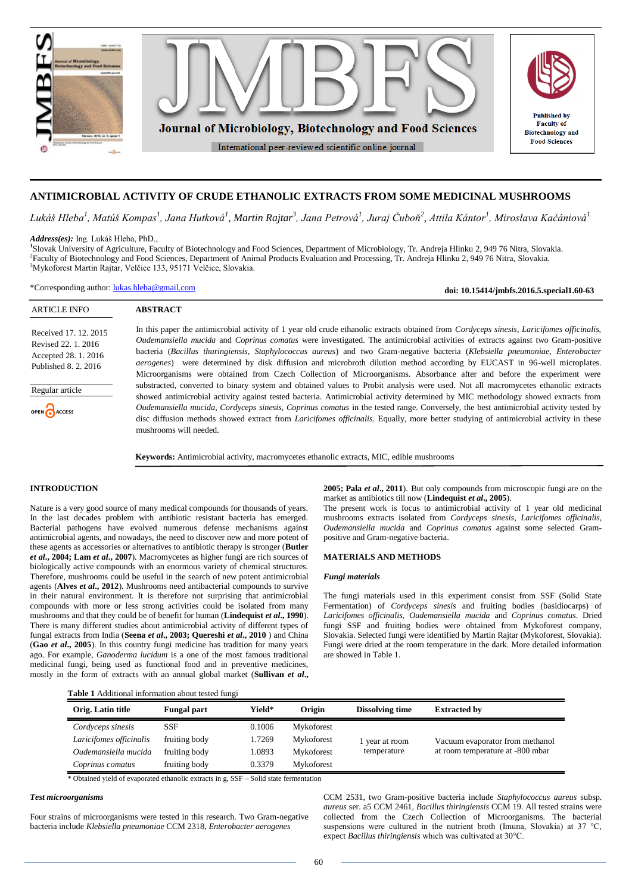

# **ANTIMICROBIAL ACTIVITY OF CRUDE ETHANOLIC EXTRACTS FROM SOME MEDICINAL MUSHROOMS**

Lukáš Hleba<sup>1</sup>, Matúš Kompas<sup>1</sup>, Jana Hutková<sup>1</sup>, Martin Rajtar<sup>3</sup>, Jana Petrová<sup>1</sup>, Juraj Čuboň<sup>2</sup>, Attila Kántor<sup>1</sup>, Miroslava Kačániová<sup>1</sup>

*Address(es):* Ing. Lukáš Hleba, PhD., **1** Slovak University of Agriculture, Faculty of Biotechnology and Food Sciences, Department of Microbiology, Tr. Andreja Hlinku 2, 949 76 Nitra, Slovakia. 2 Faculty of Biotechnology and Food Sciences, Department of Animal Products Evaluation and Processing, Tr. Andreja Hlinku 2, 949 76 Nitra, Slovakia. <sup>3</sup>Mykoforest Martin Rajtar, Velčice 133, 95171 Velčice, Slovakia.

\*Corresponding author: [lukas.hleba@gmail.com](mailto:lukas.hleba@gmail.com)

**doi: 10.15414/jmbfs.2016.5.special1.60-63**

| <b>ARTICLE INFO</b>                                                                                                            | <b>ABSTRACT</b>                                                                                                                                                                                                                                                                                                                                                                                                                                                                                                                                                                                                                                                                                                                                                                                                                                                                                                                                                                                                                                                                                                                                                                                                                                                            |
|--------------------------------------------------------------------------------------------------------------------------------|----------------------------------------------------------------------------------------------------------------------------------------------------------------------------------------------------------------------------------------------------------------------------------------------------------------------------------------------------------------------------------------------------------------------------------------------------------------------------------------------------------------------------------------------------------------------------------------------------------------------------------------------------------------------------------------------------------------------------------------------------------------------------------------------------------------------------------------------------------------------------------------------------------------------------------------------------------------------------------------------------------------------------------------------------------------------------------------------------------------------------------------------------------------------------------------------------------------------------------------------------------------------------|
| Received 17, 12, 2015<br>Revised 22, 1, 2016<br>Accepted 28. 1. 2016<br>Published 8, 2, 2016<br>Regular article<br>OPEN ACCESS | In this paper the antimicrobial activity of 1 year old crude ethanolic extracts obtained from <i>Cordyceps sinesis, Laricifomes officinalis,</i><br>Oudemansiella mucida and Coprinus comatus were investigated. The antimicrobial activities of extracts against two Gram-positive<br>bacteria (Bacillus thuringiensis, Staphylococcus aureus) and two Gram-negative bacteria (Klebsiella pneumoniae, Enterobacter<br><i>aerogenes</i> ) were determined by disk diffusion and microbroth dilution method according by EUCAST in 96-well microplates.<br>Microorganisms were obtained from Czech Collection of Microorganisms. Absorbance after and before the experiment were<br>substracted, converted to binary system and obtained values to Probit analysis were used. Not all macromycetes ethanolic extracts<br>showed antimicrobial activity against tested bacteria. Antimicrobial activity determined by MIC methodology showed extracts from<br>Oudemansiella mucida, Cordyceps sinesis, Coprinus comatus in the tested range. Conversely, the best antimicrobial activity tested by<br>disc diffusion methods showed extract from <i>Laricifomes officinalis</i> . Equally, more better studying of antimicrobial activity in these<br>mushrooms will needed. |
|                                                                                                                                | <b>Keywords:</b> Antimicrobial activity, macromycetes ethanolic extracts, MIC, edible mushrooms                                                                                                                                                                                                                                                                                                                                                                                                                                                                                                                                                                                                                                                                                                                                                                                                                                                                                                                                                                                                                                                                                                                                                                            |

#### **INTRODUCTION**

Nature is a very good source of many medical compounds for thousands of years. In the last decades problem with antibiotic resistant bacteria has emerged. Bacterial pathogens have evolved numerous defense mechanisms against antimicrobial agents, and nowadays, the need to discover new and more potent of these agents as accessories or alternatives to antibiotic therapy is stronger (**Butler**  *et al***., 2004; Lam** *et al***., 2007**). Macromycetes as higher fungi are rich sources of biologically active compounds with an enormous variety of chemical structures. Therefore, mushrooms could be useful in the search of new potent antimicrobial agents (**Alves** *et al***., 2012**). Mushrooms need antibacterial compounds to survive in their natural environment. It is therefore not surprising that antimicrobial compounds with more or less strong activities could be isolated from many mushrooms and that they could be of benefit for human (**Lindequist** *et al***., 1990**). There is many different studies about antimicrobial activity of different types of fungal extracts from India (**Seena** *et al***., 2003; Quereshi** *et al***., 2010** ) and China (**Gao** *et al***., 2005**). In this country fungi medicine has tradition for many years ago. For example, *Ganoderma lucidum* is a one of the most famous traditional medicinal fungi, being used as functional food and in preventive medicines, mostly in the form of extracts with an annual global market (**Sullivan** *et al***.,** 

**2005; Pala** *et al***., 2011**). But only compounds from microscopic fungi are on the market as antibiotics till now (**Lindequist** *et al***., 2005**).

The present work is focus to antimicrobial activity of 1 year old medicinal mushrooms extracts isolated from *Cordyceps sinesis*, *Laricifomes officinalis, Oudemansiella mucida* and *Coprinus comatus* against some selected Grampositive and Gram-negative bacteria.

### **MATERIALS AND METHODS**

#### *Fungi materials*

The fungi materials used in this experiment consist from SSF (Solid State Fermentation) of *Cordyceps sinesis* and fruiting bodies (basidiocarps) of *Laricifomes officinalis, Oudemansiella mucida* and *Coprinus comatus*. Dried fungi SSF and fruiting bodies were obtained from Mykoforest company, Slovakia. Selected fungi were identified by Martin Rajtar (Mykoforest, Slovakia). Fungi were dried at the room temperature in the dark. More detailed information are showed in Table 1.

| <b>Table 1</b> Additional information about tested fungi |  |
|----------------------------------------------------------|--|
|----------------------------------------------------------|--|

| Orig. Latin title       | <b>Fungal part</b> |        | Origin     | <b>Dissolving time</b> | <b>Extracted by</b>              |  |  |  |
|-------------------------|--------------------|--------|------------|------------------------|----------------------------------|--|--|--|
| Cordyceps sinesis       | SSF                | 0.1006 | Mykoforest |                        |                                  |  |  |  |
| Laricifomes officinalis | fruiting body      | 1.7269 | Mykoforest | l year at room         | Vacuum evaporator from methanol  |  |  |  |
| Oudemansiella mucida    | fruiting body      | 1.0893 | Mykoforest | temperature            | at room temperature at -800 mbar |  |  |  |
| Coprinus comatus        | fruiting body      | 0.3379 | Mykoforest |                        |                                  |  |  |  |

\* Obtained yield of evaporated ethanolic extracts in g, SSF – Solid state fermentation

#### *Test microorganisms*

Four strains of microorganisms were tested in this research. Two Gram-negative bacteria include *Klebsiella pneumoniae* CCM 2318, *Enterobacter aerogenes* 

CCM 2531, two Gram-positive bacteria include *Staphylococcus aureus* subsp. *aureus* ser. a5 CCM 2461, *Bacillus thiringiensis* CCM 19. All tested strains were collected from the Czech Collection of Microorganisms. The bacterial suspensions were cultured in the nutrient broth (Imuna, Slovakia) at 37 °C, expect *Bacillus thiringiensis* which was cultivated at 30°C.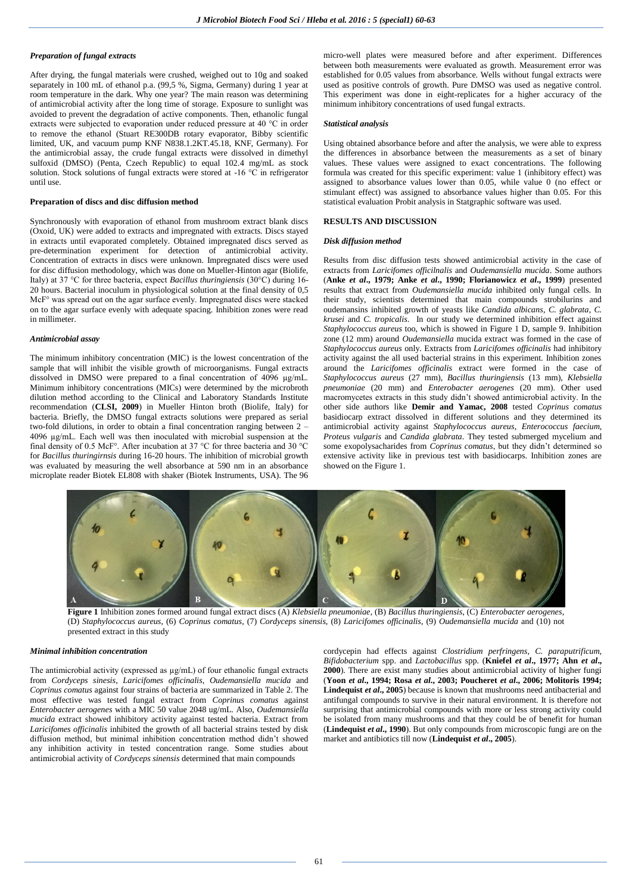### *Preparation of fungal extracts*

After drying, the fungal materials were crushed, weighed out to 10g and soaked separately in 100 mL of ethanol p.a. (99,5 %, Sigma, Germany) during 1 year at room temperature in the dark. Why one year? The main reason was determining of antimicrobial activity after the long time of storage. Exposure to sunlight was avoided to prevent the degradation of active components. Then, ethanolic fungal extracts were subjected to evaporation under reduced pressure at 40 °C in order to remove the ethanol (Stuart RE300DB rotary evaporator, Bibby scientific limited, UK, and vacuum pump KNF N838.1.2KT.45.18, KNF, Germany). For the antimicrobial assay, the crude fungal extracts were dissolved in dimethyl sulfoxid (DMSO) (Penta, Czech Republic) to equal 102.4 mg/mL as stock solution. Stock solutions of fungal extracts were stored at  $-16$  °C in refrigerator until use.

#### **Preparation of discs and disc diffusion method**

Synchronously with evaporation of ethanol from mushroom extract blank discs (Oxoid, UK) were added to extracts and impregnated with extracts. Discs stayed in extracts until evaporated completely. Obtained impregnated discs served as pre-determination experiment for detection of antimicrobial activity. Concentration of extracts in discs were unknown. Impregnated discs were used for disc diffusion methodology, which was done on Mueller-Hinton agar (Biolife, Italy) at 37 °C for three bacteria, expect *Bacillus thuringiensis* (30°C) during 16- 20 hours. Bacterial inoculum in physiological solution at the final density of 0,5 McF° was spread out on the agar surface evenly. Impregnated discs were stacked on to the agar surface evenly with adequate spacing. Inhibition zones were read in millimeter.

### *Antimicrobial assay*

The minimum inhibitory concentration (MIC) is the lowest concentration of the sample that will inhibit the visible growth of microorganisms. Fungal extracts dissolved in DMSO were prepared to a final concentration of 4096 µg/mL. Minimum inhibitory concentrations (MICs) were determined by the microbroth dilution method according to the Clinical and Laboratory Standards Institute recommendation (**CLSI, 2009**) in Mueller Hinton broth (Biolife, Italy) for bacteria. Briefly, the DMSO fungal extracts solutions were prepared as serial two-fold dilutions, in order to obtain a final concentration ranging between 2 – 4096 µg/mL. Each well was then inoculated with microbial suspension at the final density of 0.5 McF°. After incubation at 37 °C for three bacteria and 30 °C for *Bacillus thuringirnsis* during 16-20 hours. The inhibition of microbial growth was evaluated by measuring the well absorbance at 590 nm in an absorbance microplate reader Biotek EL808 with shaker (Biotek Instruments, USA). The 96

micro-well plates were measured before and after experiment. Differences between both measurements were evaluated as growth. Measurement error was established for 0.05 values from absorbance. Wells without fungal extracts were used as positive controls of growth. Pure DMSO was used as negative control. This experiment was done in eight-replicates for a higher accuracy of the minimum inhibitory concentrations of used fungal extracts.

#### *Statistical analysis*

Using obtained absorbance before and after the analysis, we were able to express the differences in absorbance between the measurements as a set of binary values. These values were assigned to exact concentrations. The following formula was created for this specific experiment: value 1 (inhibitory effect) was assigned to absorbance values lower than 0.05, while value 0 (no effect or stimulant effect) was assigned to absorbance values higher than 0.05. For this statistical evaluation Probit analysis in Statgraphic software was used.

#### **RESULTS AND DISCUSSION**

#### *Disk diffusion method*

Results from disc diffusion tests showed antimicrobial activity in the case of extracts from *Laricifomes officilnalis* and *Oudemansiella mucida*. Some authors (**Anke** *et al***., 1979; Anke** *et al***., 1990; Florianowicz** *et al***., 1999**) presented results that extract from *Oudemansiella mucida* inhibited only fungal cells. In their study, scientists determined that main compounds strobilurins and oudemansins inhibited growth of yeasts like *Candida albicans*, *C. glabrata*, *C. krusei* and *C. tropicalis*. In our study we determined inhibition effect against *Staphylococcus aureus* too, which is showed in Figure 1 D, sample 9. Inhibition zone (12 mm) around *Oudemansiella* mucida extract was formed in the case of *Staphylococcus aureus* only. Extracts from *Laricifomes officinalis* had inhibitory activity against the all used bacterial strains in this experiment. Inhibition zones around the *Laricifomes officinalis* extract were formed in the case of *Staphylococcus aureus* (27 mm), *Bacillus thuringiensis* (13 mm), *Klebsiella pneumoniae* (20 mm) and *Enterobacter aerogenes* (20 mm). Other used macromycetes extracts in this study didn't showed antimicrobial activity. In the other side authors like **Demir and Yamac, 2008** tested *Coprinus comatus* basidiocarp extract dissolved in different solutions and they determined its antimicrobial activity against *Staphylococcus aureus*, *Enterococcus faecium*, *Proteus vulgaris* and *Candida glabrata*. They tested submerged mycelium and some exopolysacharides from *Coprinus comatus*, but they didn't determined so extensive activity like in previous test with basidiocarps. Inhibition zones are showed on the Figure 1.



**Figure 1** Inhibition zones formed around fungal extract discs (A) *Klebsiella pneumoniae*, (B) *Bacillus thuringiensis*, (C) *Enterobacter aerogenes*, (D) *Staphylococcus aureus*, (6) *Coprinus comatus*, (7) *Cordyceps sinensis*, (8) *Laricifomes officinalis*, (9) *Oudemansiella mucida* and (10) not presented extract in this study

#### *Minimal inhibition concentration*

The antimicrobial activity (expressed as  $\mu$ g/mL) of four ethanolic fungal extracts from *Cordyceps sinesis*, *Laricifomes officinalis, Oudemansiella mucida* and *Coprinus comatus* against four strains of bacteria are summarized in Table 2. The most effective was tested fungal extract from *Coprinus comatus* against *Enterobacter aerogenes* with a MIC 50 value 2048 ug/mL. Also, *Oudemansiella mucida* extract showed inhibitory activity against tested bacteria. Extract from *Laricifomes officinalis* inhibited the growth of all bacterial strains tested by disk diffusion method, but minimal inhibition concentration method didn't showed any inhibition activity in tested concentration range. Some studies about antimicrobial activity of *Cordyceps sinensis* determined that main compounds

cordycepin had effects against *Clostridium perfringens, C. paraputrificum, Bifidobacterium* spp. and *Lactobacillus* spp. (**Kniefel** *et al***., 1977; Ahn** *et al***., 2000**). There are exist many studies about antimicrobial activity of higher fungi (**Yoon** *et al***., 1994; Rosa** *et al***., 2003; Poucheret** *et al***., 2006; Molitoris 1994; Lindequist** *et al.***, 2005**) because is known that mushrooms need antibacterial and antifungal compounds to survive in their natural environment. It is therefore not surprising that antimicrobial compounds with more or less strong activity could be isolated from many mushrooms and that they could be of benefit for human (**Lindequist** *et al***., 1990**). But only compounds from microscopic fungi are on the market and antibiotics till now (**Lindequist** *et al***., 2005**).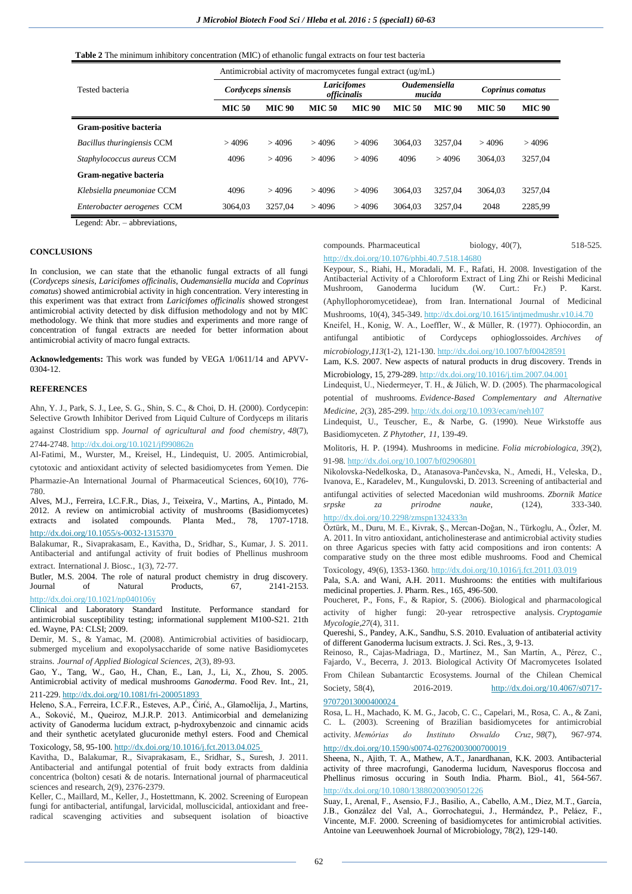**Table 2** The minimum inhibitory concentration (MIC) of ethanolic fungal extracts on four test bacteria

|                            | Antimicrobial activity of macromycetes fungal extract (ug/mL) |               |                                          |               |                                       |               |                  |               |  |  |
|----------------------------|---------------------------------------------------------------|---------------|------------------------------------------|---------------|---------------------------------------|---------------|------------------|---------------|--|--|
| Tested bacteria            | Cordyceps sinensis                                            |               | <b>Laricifomes</b><br><i>officinalis</i> |               | <i><b>Oudemensiella</b></i><br>mucida |               | Coprinus comatus |               |  |  |
|                            | <b>MIC 50</b>                                                 | <b>MIC 90</b> | <b>MIC 50</b>                            | <b>MIC 90</b> | <b>MIC 50</b>                         | <b>MIC 90</b> | <b>MIC 50</b>    | <b>MIC 90</b> |  |  |
| Gram-positive bacteria     |                                                               |               |                                          |               |                                       |               |                  |               |  |  |
| Bacillus thuringiensis CCM | >4096                                                         | >4096         | >4096                                    | >4096         | 3064.03                               | 3257.04       | >4096            | >4096         |  |  |
| Staphylococcus aureus CCM  | 4096                                                          | >4096         | >4096                                    | >4096         | 4096                                  | >4096         | 3064.03          | 3257.04       |  |  |
| Gram-negative bacteria     |                                                               |               |                                          |               |                                       |               |                  |               |  |  |
| Klebsiella pneumoniae CCM  | 4096                                                          | >4096         | >4096                                    | >4096         | 3064.03                               | 3257.04       | 3064.03          | 3257.04       |  |  |
| Enterobacter aerogenes CCM | 3064.03                                                       | 3257.04       | >4096                                    | >4096         | 3064.03                               | 3257.04       | 2048             | 2285,99       |  |  |

Legend: Abr. – abbreviations,

## **CONCLUSIONS**

In conclusion, we can state that the ethanolic fungal extracts of all fungi (*Cordyceps sinesis, Laricifomes officinalis, Oudemansiella mucida* and *Coprinus comatus*) showed antimicrobial activity in high concentration. Very interesting in this experiment was that extract from *Laricifomes officinalis* showed strongest antimicrobial activity detected by disk diffusion methodology and not by MIC methodology. We think that more studies and experiments and more range of concentration of fungal extracts are needed for better information about antimicrobial activity of macro fungal extracts.

**Acknowledgements:** This work was funded by VEGA 1/0611/14 and APVV-0304-12.

# **REFERENCES**

Ahn, Y. J., Park, S. J., Lee, S. G., Shin, S. C., & Choi, D. H. (2000). Cordycepin: Selective Growth Inhibitor Derived from Liquid Culture of Cordyceps m ilitaris against Clostridium spp. *Journal of agricultural and food chemistry*, *48*(7), 2744-2748. <http://dx.doi.org/10.1021/jf990862n>

Al-Fatimi, M., Wurster, M., Kreisel, H., Lindequist, U. 2005. Antimicrobial,

cytotoxic and antioxidant activity of selected basidiomycetes from Yemen. Die

Pharmazie-An International Journal of Pharmaceutical Sciences, 60(10), 776- 780.

Alves, M.J., Ferreira, I.C.F.R., Dias, J., Teixeira, V., Martins, A., Pintado, M. 2012. A review on antimicrobial activity of mushrooms (Basidiomycetes) extracts and isolated compounds. Planta Med., 78, 1707-1718. <http://dx.doi.org/10.1055/s-0032-1315370>

Balakumar, R., Sivaprakasam, E., Kavitha, D., Sridhar, S., Kumar, J. S. 2011. Antibacterial and antifungal activity of fruit bodies of Phellinus mushroom extract. International J. Biosc., 1(3), 72-77.

Butler, M.S. 2004. The role of natural product chemistry in drug discovery.<br>Journal of Natural Products, 67, 2141-2153. Journal of Natural Products, 67, <http://dx.doi.org/10.1021/np040106y>

Clinical and Laboratory Standard Institute. Performance standard for antimicrobial susceptibility testing; informational supplement M100-S21. 21th ed. Wayne, PA: CLSI; 2009.

Demir, M. S., & Yamac, M. (2008). Antimicrobial activities of basidiocarp, submerged mycelium and exopolysaccharide of some native Basidiomycetes strains. *Journal of Applied Biological Sciences*, *2*(3), 89-93.

Gao, Y., Tang, W., Gao, H., Chan, E., Lan, J., Li, X., Zhou, S. 2005. Antimicrobial activity of medical mushrooms *Ganoderma*. Food Rev. Int., 21, 211-229[. http://dx.doi.org/10.1081/fri-200051893](http://dx.doi.org/10.1081/fri-200051893)

Heleno, S.A., Ferreira, I.C.F.R., Esteves, A.P., Ćirić, A., Glamočlija, J., Martins, A., Soković, M., Queiroz, M.J.R.P. 2013. Antimicorbial and demelanizing activity of Ganoderma lucidum extract, p-hydroxybenzoic and cinnamic acids and their synthetic acetylated glucuronide methyl esters. Food and Chemical Toxicology, 58, 95-100.<http://dx.doi.org/10.1016/j.fct.2013.04.025>

Kavitha, D., Balakumar, R., Sivaprakasam, E., Sridhar, S., Suresh, J. 2011. Antibacterial and antifungal potential of fruit body extracts from daldinia concentrica (bolton) cesati & de notaris. International journal of pharmaceutical sciences and research, 2(9), 2376-2379.

Keller, C., Maillard, M., Keller, J., Hostettmann, K. 2002. Screening of European fungi for antibacterial, antifungal, larvicidal, molluscicidal, antioxidant and freeradical scavenging activities and subsequent isolation of bioactive compounds. Pharmaceutical biology, 40(7), 518-525. <http://dx.doi.org/10.1076/phbi.40.7.518.14680>

Keypour, S., Riahi, H., Moradali, M. F., Rafati, H. 2008. Investigation of the Antibacterial Activity of a Chloroform Extract of Ling Zhi or Reishi Medicinal Mushroom, Ganoderma lucidum (W. Curt.: Fr.) P. Karst. (Aphyllophoromycetideae), from Iran. International Journal of Medicinal Mushrooms, 10(4), 345-349[. http://dx.doi.org/10.1615/intjmedmushr.v10.i4.70](http://dx.doi.org/10.1615/intjmedmushr.v10.i4.70) Kneifel, H., Konig, W. A., Loeffler, W., & Müller, R. (1977). Ophiocordin, an antifungal antibiotic of Cordyceps ophioglossoides. *Archives of microbiology*,*113*(1-2), 121-130[. http://dx.doi.org/10.1007/bf00428591](http://dx.doi.org/10.1007/bf00428591)

Lam, K.S. 2007. New aspects of natural products in drug discovery. Trends in Microbiology, 15, 279-289[. http://dx.doi.org/10.1016/j.tim.2007.04.001](http://dx.doi.org/10.1016/j.tim.2007.04.001)

Lindequist, U., Niedermeyer, T. H., & Jülich, W. D. (2005). The pharmacological potential of mushrooms. *Evidence-Based Complementary and Alternative Medicine*, *2*(3), 285-299[. http://dx.doi.org/10.1093/ecam/neh107](http://dx.doi.org/10.1093/ecam/neh107)

Lindequist, U., Teuscher, E., & Narbe, G. (1990). Neue Wirkstoffe aus Basidiomyceten. *Z Phytother*, *11*, 139-49.

Molitoris, H. P. (1994). Mushrooms in medicine. *Folia microbiologica*, *39*(2), 91-98[. http://dx.doi.org/10.1007/bf02906801](http://dx.doi.org/10.1007/bf02906801)

Nikolovska-Nedelkoska, D., Atanasova-Pančevska, N., Amedi, H., Veleska, D., Ivanova, E., Karadelev, M., Kungulovski, D. 2013. Screening of antibacterial and antifungal activities of selected Macedonian wild mushrooms. *Zbornik Matice srpske za prirodne nauke*, (124), 333-340.

<http://dx.doi.org/10.2298/zmspn1324333n>

Öztürk, M., Duru, M. E., Kivrak, Ş., Mercan-Doğan, N., Türkoglu, A., Özler, M. A. 2011. In vitro antioxidant, anticholinesterase and antimicrobial activity studies on three Agaricus species with fatty acid compositions and iron contents: A comparative study on the three most edible mushrooms. Food and Chemical Toxicology, 49(6), 1353-1360[. http://dx.doi.org/10.1016/j.fct.2011.03.019](http://dx.doi.org/10.1016/j.fct.2011.03.019)

Pala, S.A. and Wani, A.H. 2011. Mushrooms: the entities with multifarious medicinal properties. J. Pharm. Res., 165, 496-500.

Poucheret, P., Fons, F., & Rapior, S. (2006). Biological and pharmacological activity of higher fungi: 20-year retrospective analysis. *Cryptogamie Mycologie*,*27*(4), 311.

Quereshi, S., Pandey, A.K., Sandhu, S.S. 2010. Evaluation of antibaterial activity of different Ganoderma lucisum extracts. J. Sci. Res., 3, 9-13.

Reinoso, R., Cajas-Madriaga, D., Martínez, M., San Martín, A., Pérez, C., Fajardo, V., Becerra, J. 2013. Biological Activity Of Macromycetes Isolated

From Chilean Subantarctic Ecosystems. Journal of the Chilean Chemical Society, 58(4), 2016-2019. [http://dx.doi.org/10.4067/s0717-](http://dx.doi.org/10.4067/s0717-97072013000400024)

[97072013000400024](http://dx.doi.org/10.4067/s0717-97072013000400024)

Rosa, L. H., Machado, K. M. G., Jacob, C. C., Capelari, M., Rosa, C. A., & Zani, C. L. (2003). Screening of Brazilian basidiomycetes for antimicrobial activity. *Memórias do Instituto Oswaldo Cruz*, *98*(7), 967-974.

<http://dx.doi.org/10.1590/s0074-02762003000700019>

Sheena, N., Ajith, T. A., Mathew, A.T., Janardhanan, K.K. 2003. Antibacterial activity of three macrofungi, Ganoderma lucidum, Navesporus floccosa and Phellinus rimosus occuring in South India. Pharm. Biol., 41, 564-567. <http://dx.doi.org/10.1080/13880200390501226>

Suay, I., Arenal, F., Asensio, F.J., Basilio, A., Cabello, A.M., Díez, M.T., García, J.B., González del Val, A., Gorrochategui, J., Hermández, P., Peláez, F., Vincente, M.F. 2000. Screening of basidiomycetes for antimicrobial activities. Antoine van Leeuwenhoek Journal of Microbiology, 78(2), 129-140.